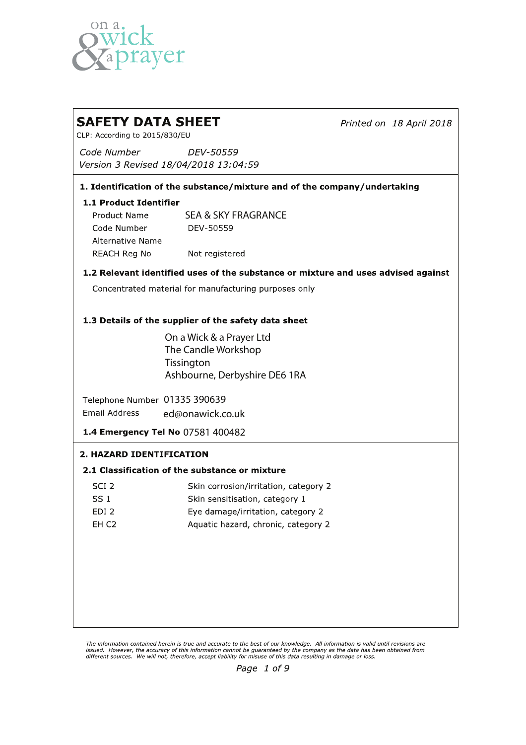

# **SAFETY DATA SHEET** Printed on 18 April 2018 CLP: According to 2015/830/EU Code Number DEV-50559 Version 3 Revised 18/04/2018 13:04:59 1. Identification of the substance/mixture and of the company/undertaking 1.1 Product Identifier SEA & SKY FRAGRANCE**Product Name** DEV-50559 Code Number **Alternative Name REACH Reg No** Not registered 1.2 Relevant identified uses of the substance or mixture and uses advised against Concentrated material for manufacturing purposes only 1.3 Details of the supplier of the safety data sheet On a Wick & a Prayer Ltd The Candle Workshop **Tissington** Ashbourne, Derbyshire DE6 1RA Telephone Number 01335 390639 Email Address ed@onawick.co.uk 1.4 Emergency Tel No 07581 400482 2. HAZARD IDENTIFICATION 2.1 Classification of the substance or mixture SCI<sub>2</sub> Skin corrosion/irritation, category 2  $SS<sub>1</sub>$ Skin sensitisation, category 1 EDI<sub>2</sub> Eye damage/irritation, category 2 EH<sub>C2</sub> Aquatic hazard, chronic, category 2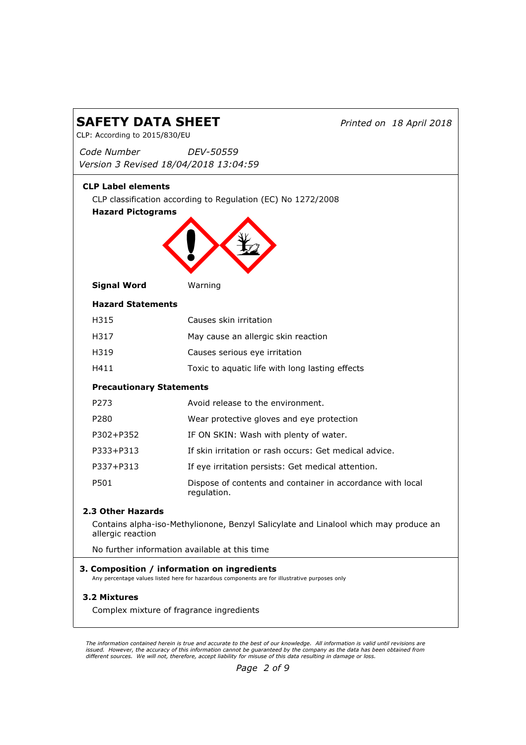| <b>SAFETY DATA SHEET</b><br>CLP: According to 2015/830/EU |                                                                                                                                              | Printed on 18 April 2018                                                             |  |
|-----------------------------------------------------------|----------------------------------------------------------------------------------------------------------------------------------------------|--------------------------------------------------------------------------------------|--|
| Code Number                                               | DEV-50559<br>Version 3 Revised 18/04/2018 13:04:59                                                                                           |                                                                                      |  |
| <b>CLP Label elements</b><br><b>Hazard Pictograms</b>     | CLP classification according to Regulation (EC) No 1272/2008                                                                                 |                                                                                      |  |
| <b>Signal Word</b>                                        | Warning                                                                                                                                      |                                                                                      |  |
| <b>Hazard Statements</b>                                  |                                                                                                                                              |                                                                                      |  |
| H315                                                      | Causes skin irritation                                                                                                                       |                                                                                      |  |
| H317                                                      | May cause an allergic skin reaction                                                                                                          |                                                                                      |  |
| H319                                                      | Causes serious eye irritation                                                                                                                |                                                                                      |  |
| H411                                                      | Toxic to aquatic life with long lasting effects                                                                                              |                                                                                      |  |
| <b>Precautionary Statements</b>                           |                                                                                                                                              |                                                                                      |  |
| P273                                                      | Avoid release to the environment.                                                                                                            |                                                                                      |  |
| P280                                                      | Wear protective gloves and eye protection                                                                                                    |                                                                                      |  |
| P302+P352                                                 | IF ON SKIN: Wash with plenty of water.                                                                                                       |                                                                                      |  |
| P333+P313                                                 |                                                                                                                                              | If skin irritation or rash occurs: Get medical advice.                               |  |
| P337+P313                                                 | If eye irritation persists: Get medical attention.                                                                                           |                                                                                      |  |
| P501                                                      | regulation.                                                                                                                                  | Dispose of contents and container in accordance with local                           |  |
| 2.3 Other Hazards                                         |                                                                                                                                              |                                                                                      |  |
| allergic reaction                                         |                                                                                                                                              | Contains alpha-iso-Methylionone, Benzyl Salicylate and Linalool which may produce an |  |
|                                                           | No further information available at this time                                                                                                |                                                                                      |  |
|                                                           | 3. Composition / information on ingredients<br>Any percentage values listed here for hazardous components are for illustrative purposes only |                                                                                      |  |
| 3.2 Mixtures                                              | Complex mixture of fragrance ingredients                                                                                                     |                                                                                      |  |

The information contained herein is true and accurate to the best of our knowledge. All information is valid until revisions are<br>issued. However, the accuracy of this information cannot be guaranteed by the company as th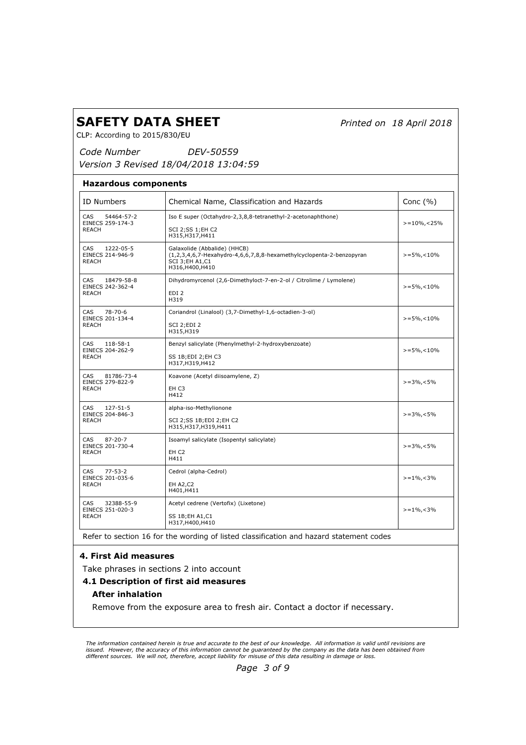Printed on 18 April 2018

CLP: According to 2015/830/EU

Code Number Version 3 Revised 18/04/2018 13:04:59 DEV-50559

| <b>ID Numbers</b>                                         | Chemical Name, Classification and Hazards                                                                                                           | Conc $(% )$        |
|-----------------------------------------------------------|-----------------------------------------------------------------------------------------------------------------------------------------------------|--------------------|
| CAS<br>54464-57-2<br>EINECS 259-174-3<br>REACH            | Iso E super (Octahydro-2,3,8,8-tetranethyl-2-acetonaphthone)<br>SCI 2;SS 1;EH C2<br>H315, H317, H411                                                | $> = 10\%$ , < 25% |
| CAS<br>1222-05-5<br>EINECS 214-946-9<br><b>REACH</b>      | Galaxolide (Abbalide) (HHCB)<br>(1,2,3,4,6,7-Hexahydro-4,6,6,7,8,8-hexamethylcyclopenta-2-benzopyran<br><b>SCI 3; EH A1, C1</b><br>H316, H400, H410 | $>=5\%$ , < 10%    |
| CAS.<br>18479-58-8<br>EINECS 242-362-4<br><b>REACH</b>    | Dihydromyrcenol (2,6-Dimethyloct-7-en-2-ol / Citrolime / Lymolene)<br>EDI <sub>2</sub><br>H319                                                      | $>=5\%$ , < 10%    |
| CAS<br>$78 - 70 - 6$<br>EINECS 201-134-4<br><b>REACH</b>  | Coriandrol (Linalool) (3,7-Dimethyl-1,6-octadien-3-ol)<br>SCI 2;EDI 2<br>H315, H319                                                                 | $> = 5\%$ , < 10%  |
| CAS<br>118-58-1<br>EINECS 204-262-9<br><b>REACH</b>       | Benzyl salicylate (Phenylmethyl-2-hydroxybenzoate)<br>SS 1B;EDI 2;EH C3<br>H317, H319, H412                                                         | $> = 5\%$ , < 10%  |
| CAS<br>81786-73-4<br>EINECS 279-822-9<br>REACH            | Koavone (Acetyl diisoamylene, Z)<br>EH C3<br>H412                                                                                                   | $> = 3\%$ , < 5%   |
| $127 - 51 - 5$<br>CAS<br>EINECS 204-846-3<br><b>REACH</b> | alpha-iso-Methylionone<br>SCI 2; SS 1B; EDI 2; EH C2<br>H315, H317, H319, H411                                                                      | $> = 3\%$ , < 5%   |
| CAS<br>$87 - 20 - 7$<br>EINECS 201-730-4<br><b>REACH</b>  | Isoamyl salicylate (Isopentyl salicylate)<br>EH <sub>C2</sub><br>H411                                                                               | $> = 3\%$ , < 5%   |
| CAS.<br>$77 - 53 - 2$<br>EINECS 201-035-6<br><b>REACH</b> | Cedrol (alpha-Cedrol)<br><b>EH A2, C2</b><br>H401, H411                                                                                             | $> = 1\%$ , < 3%   |
| CAS.<br>32388-55-9<br>EINECS 251-020-3<br><b>REACH</b>    | Acetyl cedrene (Vertofix) (Lixetone)<br>SS 1B; EH A1, C1<br>H317, H400, H410                                                                        | $> = 1\%$ , < 3%   |

Refer to section 16 for the wording of listed classification and hazard statement codes

# 4. First Aid measures

Take phrases in sections 2 into account

#### 4.1 Description of first aid measures

# After inhalation

Remove from the exposure area to fresh air. Contact a doctor if necessary.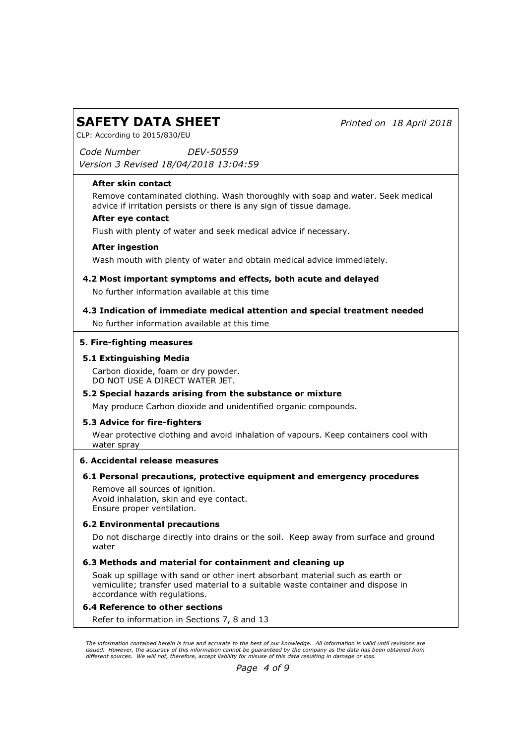Printed on 18 April 2018

CLP: According to 2015/830/EU

Code Number DEV-50559

Version 3 Revised 18/04/2018 13:04:59

#### After skin contact

Remove contaminated clothing. Wash thoroughly with soap and water. Seek medical advice if irritation persists or there is any sign of tissue damage.

#### After eye contact

Flush with plenty of water and seek medical advice if necessary.

#### After ingestion

Wash mouth with plenty of water and obtain medical advice immediately.

- No further information available at this time 4.2 Most important symptoms and effects, both acute and delayed
- No further information available at this time 4.3 Indication of immediate medical attention and special treatment needed

#### 5. Fire-fighting measures

#### 5.1 Extinguishing Media

Carbon dioxide, foam or dry powder. DO NOT USE A DIRECT WATER JET.

#### 5.2 Special hazards arising from the substance or mixture

May produce Carbon dioxide and unidentified organic compounds.

# 5.3 Advice for fire-fighters

Wear protective clothing and avoid inhalation of vapours. Keep containers cool with water spray

#### 6. Accidental release measures

# 6.1 Personal precautions, protective equipment and emergency procedures

Remove all sources of ignition. Avoid inhalation, skin and eye contact. Ensure proper ventilation.

#### 6.2 Environmental precautions

Do not discharge directly into drains or the soil. Keep away from surface and ground water

#### 6.3 Methods and material for containment and cleaning up

Soak up spillage with sand or other inert absorbant material such as earth or vemiculite; transfer used material to a suitable waste container and dispose in accordance with regulations.

#### 6.4 Reference to other sections

Refer to information in Sections 7, 8 and 13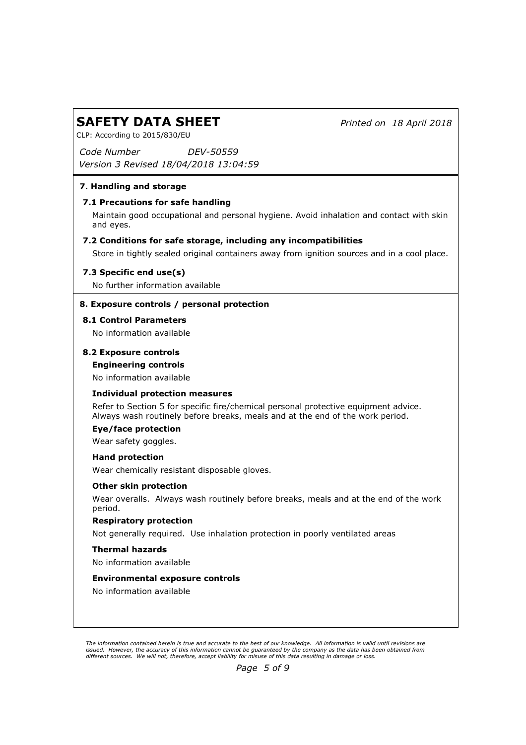Printed on 18 April 2018

CLP: According to 2015/830/EU

Code Number DEV-50559

Version 3 Revised 18/04/2018 13:04:59

# 7. Handling and storage

# 7.1 Precautions for safe handling

Maintain good occupational and personal hygiene. Avoid inhalation and contact with skin and eyes.

# 7.2 Conditions for safe storage, including any incompatibilities

Store in tightly sealed original containers away from ignition sources and in a cool place.

# 7.3 Specific end use(s)

No further information available

# 8. Exposure controls / personal protection

#### 8.1 Control Parameters

No information available

# 8.2 Exposure controls

#### Engineering controls

No information available

# Individual protection measures

Refer to Section 5 for specific fire/chemical personal protective equipment advice. Always wash routinely before breaks, meals and at the end of the work period.

# Eye/face protection

Wear safety goggles.

#### Hand protection

Wear chemically resistant disposable gloves.

#### Other skin protection

Wear overalls. Always wash routinely before breaks, meals and at the end of the work period.

#### Respiratory protection

Not generally required. Use inhalation protection in poorly ventilated areas

#### Thermal hazards

No information available

#### Environmental exposure controls

No information available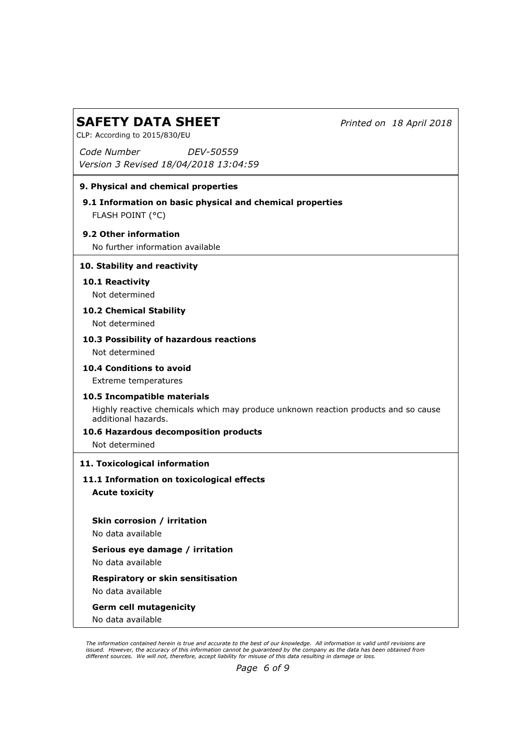Printed on 18 April 2018

CLP: According to 2015/830/EU

Code Number Version 3 Revised 18/04/2018 13:04:59 DEV-50559

# 9. Physical and chemical properties

FLASH POINT (°C) 9.1 Information on basic physical and chemical properties

# 9.2 Other information

No further information available

# 10. Stability and reactivity

# 10.1 Reactivity Not determined

# 10.2 Chemical Stability

Not determined

# 10.3 Possibility of hazardous reactions

Not determined

# 10.4 Conditions to avoid

Extreme temperatures

# 10.5 Incompatible materials

Highly reactive chemicals which may produce unknown reaction products and so cause additional hazards.

# 10.6 Hazardous decomposition products

Not determined

# 11. Toxicological information

Acute toxicity 11.1 Information on toxicological effects

Skin corrosion / irritation No data available

Serious eye damage / irritation No data available

Respiratory or skin sensitisation No data available

Germ cell mutagenicity

No data available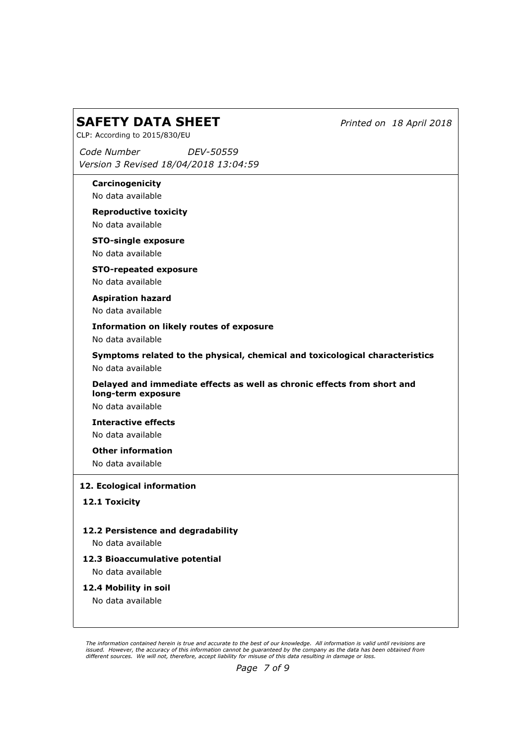Printed on 18 April 2018

CLP: According to 2015/830/EU

Code Number Version 3 Revised 18/04/2018 13:04:59 DEV-50559

Carcinogenicity No data available

Reproductive toxicity No data available

STO-single exposure

No data available

STO-repeated exposure No data available

Aspiration hazard No data available

Information on likely routes of exposure

No data available

Symptoms related to the physical, chemical and toxicological characteristics No data available

Delayed and immediate effects as well as chronic effects from short and long-term exposure

No data available

Interactive effects No data available

Other information

No data available

12. Ecological information

12.1 Toxicity

12.2 Persistence and degradability

No data available

# 12.3 Bioaccumulative potential

No data available

12.4 Mobility in soil

No data available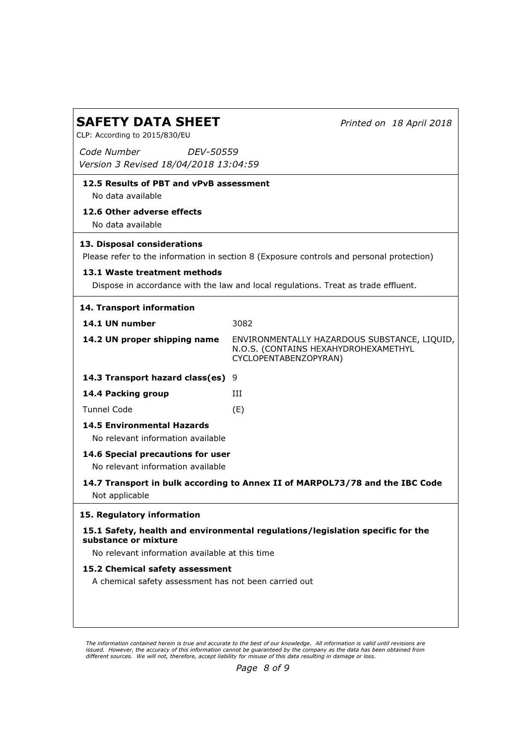Printed on 18 April 2018

CLP: According to 2015/830/EU

Code Number Version 3 Revised 18/04/2018 13:04:59 DEV-50559

# 12.5 Results of PBT and vPvB assessment

No data available

# 12.6 Other adverse effects

No data available

# 13. Disposal considerations

Please refer to the information in section 8 (Exposure controls and personal protection)

# 13.1 Waste treatment methods

Dispose in accordance with the law and local regulations. Treat as trade effluent.

| 14. Transport information                                                                              |                                                                                                               |  |  |  |
|--------------------------------------------------------------------------------------------------------|---------------------------------------------------------------------------------------------------------------|--|--|--|
| 14.1 UN number                                                                                         | 3082                                                                                                          |  |  |  |
| 14.2 UN proper shipping name                                                                           | ENVIRONMENTALLY HAZARDOUS SUBSTANCE, LIQUID,<br>N.O.S. (CONTAINS HEXAHYDROHEXAMETHYL<br>CYCLOPENTABENZOPYRAN) |  |  |  |
| 14.3 Transport hazard class(es) $9$                                                                    |                                                                                                               |  |  |  |
| 14.4 Packing group                                                                                     | ш                                                                                                             |  |  |  |
| <b>Tunnel Code</b>                                                                                     | (E)                                                                                                           |  |  |  |
| <b>14.5 Environmental Hazards</b><br>No relevant information available                                 |                                                                                                               |  |  |  |
| 14.6 Special precautions for user<br>No relevant information available                                 |                                                                                                               |  |  |  |
| 14.7 Transport in bulk according to Annex II of MARPOL73/78 and the IBC Code<br>Not applicable         |                                                                                                               |  |  |  |
| 15. Regulatory information                                                                             |                                                                                                               |  |  |  |
| 15.1 Safety, health and environmental regulations/legislation specific for the<br>substance or mixture |                                                                                                               |  |  |  |
| No relevant information available at this time                                                         |                                                                                                               |  |  |  |
| 15.2 Chemical safety assessment<br>A chemical safety assessment has not been carried out               |                                                                                                               |  |  |  |

The information contained herein is true and accurate to the best of our knowledge. All information is valid until revisions are issued. However, the accuracy of this information cannot be guaranteed by the company as the data has been obtained from<br>different sources. We will not, therefore, accept liability for misuse of this data resulting in da